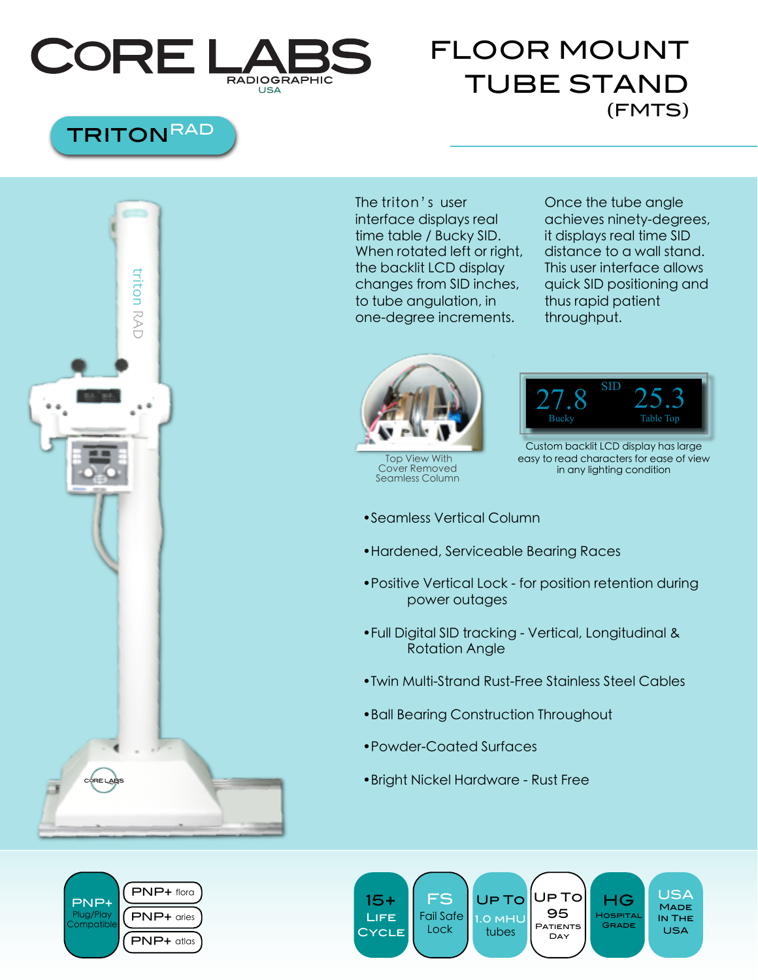

## FLOOR MOUNT TUBE STAND (FMTS)

## **TRITON<sup>RAD</sup>**



The triton's user interface displays real time table / Bucky SID. When rotated left or right, the backlit LCD display changes from SID inches, to tube angulation, in one-degree increments.

Once the tube angle achieves ninety-degrees, it displays real time SID distance to a wall stand. This user interface allows quick SID positioning and thus rapid patient throughput.



 Top View With Cover Removed Seamless Column



Custom backlit LCD display has large easy to read characters for ease of view in any lighting condition

- •Seamless Vertical Column
- •Hardened, Serviceable Bearing Races
- •Positive Vertical Lock for position retention during power outages
- •Full Digital SID tracking Vertical, Longitudinal & Rotation Angle
- •Twin Multi-Strand Rust-Free Stainless Steel Cables
- •Ball Bearing Construction Throughout
- •Powder-Coated Surfaces
- •Bright Nickel Hardware Rust Free